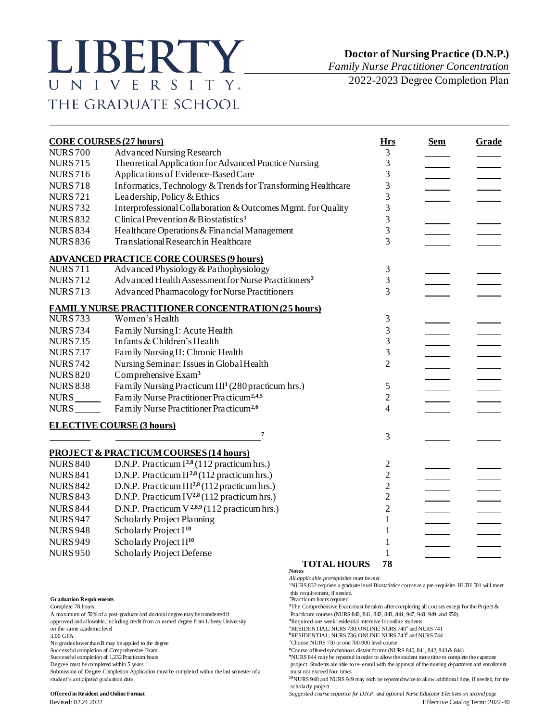

 **Doctor of Nursing Practice (D.N.P.)**

*Family Nurse Practitioner Concentration*

2022-2023 Degree Completion Plan

|                 | <b>CORE COURSES (27 hours)</b>                                  | <b>Hrs</b>     | <b>Sem</b> | Grade          |
|-----------------|-----------------------------------------------------------------|----------------|------------|----------------|
| <b>NURS700</b>  | <b>Advanced Nursing Research</b>                                | 3              |            |                |
| <b>NURS715</b>  | Theoretical Application for Advanced Practice Nursing           | 3              |            |                |
| <b>NURS716</b>  | Applications of Evidence-Based Care                             | 3              |            |                |
| <b>NURS718</b>  | Informatics, Technology & Trends for Transforming Healthcare    | 3              |            |                |
| <b>NURS721</b>  | Leadership, Policy & Ethics                                     | 3              |            |                |
| <b>NURS732</b>  | Interprofessional Collaboration & Outcomes Mgmt. for Quality    | 3              |            |                |
| <b>NURS 832</b> | Clinical Prevention & Biostatistics <sup>1</sup>                | 3              |            |                |
| <b>NURS 834</b> | Healthcare Operations & Financial Management                    | 3              |            |                |
| <b>NURS 836</b> | Translational Research in Healthcare                            | $\overline{3}$ |            |                |
|                 | <b>ADVANCED PRACTICE CORE COURSES (9 hours)</b>                 |                |            |                |
| <b>NURS711</b>  | Advanced Physiology & Pathophysiology                           | 3              |            |                |
| <b>NURS712</b>  | Advanced Health Assessment for Nurse Practitioners <sup>2</sup> | 3              |            |                |
| <b>NURS713</b>  | Advanced Pharmacology for Nurse Practitioners                   | 3              |            |                |
|                 | <b>FAMILY NURSE PRACTITIONER CONCENTRATION (25 hours)</b>       |                |            |                |
| <b>NURS733</b>  | Women's Health                                                  | 3              |            |                |
| <b>NURS734</b>  | Family Nursing I: Acute Health                                  | 3              |            |                |
| <b>NURS735</b>  | Infants & Children's Health                                     | 3              |            |                |
| <b>NURS737</b>  | Family Nursing II: Chronic Health                               | 3              |            | $\mathbb{R}^n$ |
| <b>NURS742</b>  | Nursing Seminar: Issues in Global Health                        | $\overline{c}$ |            |                |
| <b>NURS 820</b> | Comprehensive Exam <sup>3</sup>                                 |                |            |                |
| <b>NURS 838</b> | Family Nursing Practicum III <sup>1</sup> (280 practicum hrs.)  | 5              |            |                |
| NURS ______     | Family Nurse Practitioner Practicum <sup>2,4,5</sup>            | $\overline{c}$ |            |                |
| NURS ______     | Family Nurse Practitioner Practicum <sup>2,6</sup>              | 4              |            |                |
|                 | <b>ELECTIVE COURSE (3 hours)</b>                                |                |            |                |
|                 | $\overline{7}$                                                  | 3              |            |                |
|                 | <b>PROJECT &amp; PRACTICUM COURSES (14 hours)</b>               |                |            |                |
| <b>NURS 840</b> | D.N.P. Practicum I <sup>2,8</sup> (112 practicum hrs.)          | 2              |            |                |
| <b>NURS 841</b> | D.N.P. Practicum II <sup>2,8</sup> (112 practicum hrs.)         | $\overline{c}$ |            |                |
| <b>NURS 842</b> | D.N.P. Practicum III <sup>2,8</sup> (112 practicum hrs.)        | $\overline{c}$ |            |                |
| <b>NURS 843</b> | D.N.P. Practicum IV <sup>2,8</sup> (112 practicum hrs.)         | $\overline{c}$ |            |                |
| <b>NURS 844</b> | D.N.P. Practicum $V^{2,8,9}$ (112 practicum hrs.)               | $\overline{c}$ |            |                |
| <b>NURS947</b>  | Scholarly Project Planning                                      | 1              |            |                |
| <b>NURS948</b>  | Scholarly Project I <sup>10</sup>                               | 1              |            |                |
| <b>NURS949</b>  | Scholarly Project II <sup>10</sup>                              | 1              |            |                |
| <b>NURS950</b>  | <b>Scholarly Project Defense</b>                                | 1              |            |                |
|                 |                                                                 |                |            |                |

## **Graduation Requirements**<br>**Complete 78 hours**

A maximum of 50% of a post-graduate and doctoral degree may be transferred if Practicum courses (NURS 840, 841, 842, 843, 844, 947, 94<br>approved and allowable, including credit from an eamed degree from Liberty University a approved and allowable, including credit from an eamed degree from Liberty University on the same academic level **<sup>5</sup>**RESIDENTIAL: NURS 730; ONLINE: NURS 740**<sup>3</sup>** and NURS 741

No grades lower than B may be applied to the degree **7**Choose NURS 750 or one 700-900 level course<br>Successful completion of Comprehensive Exam **and Successful completion** of 1,232 Practicum hours<br>**P** NURS 844 may be repeat

Submission of Degree Completion Application must be completed within the last semester of a must not exceed four times student's anticipated graduation date

# **TOTAL HOURS 78 Notes**

*All applicable prerequisites must be met*

**<sup>1</sup>**NURS 832 requires a graduate level Biostatistics course as a pre-requisite. HLTH 501 will meet this requirement, if needed.<br><sup>2</sup>Practicum hours required

<sup>3</sup>The Comprehensive Exam must be taken after completing all courses except for the Project & Practicum courses (NURS 840, 841, 842, 843, 844, 947, 948, 949, and 950)

3.00 GPA **<sup>6</sup>**RESIDENTIAL: NURS 736; ONLINE: NURS 743**<sup>3</sup>** and NURS 744

<sup>8</sup>Course offered synchronous distant format (NURS 840, 841, 842, 843 & 844)

**PRURS 844** may be repeated in order to allow the student more time to complete the capstone Degree must be completed within 5 years project. Students are able to re- enroll with the approval of the nursing department and enrollment

> <sup>10</sup>NURS 948 and NURS 949 may each be repeated twice to allow additional time, if needed, for the scholarly project

Revised: 02.24.2022 Effective Catalog Term: 2022-40 **Offered in Resident and Online Format** *Suggested course sequence for D.N.P. and optional Nurse Educator Electives on second page*